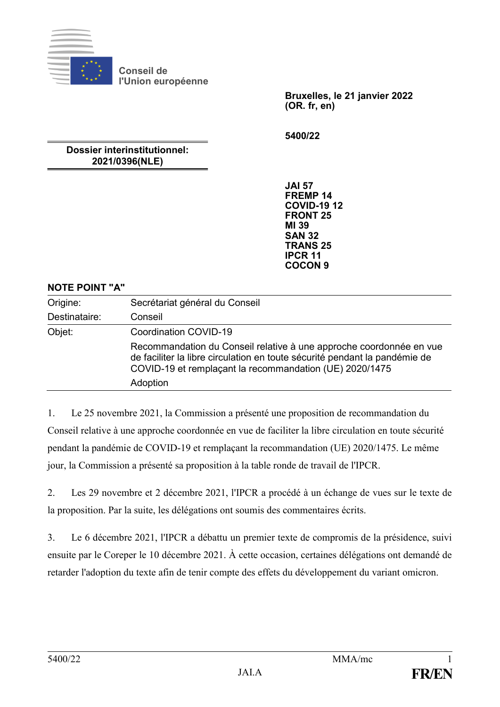

**Conseil de l'Union européenne**

> **Bruxelles, le 21 janvier 2022 (OR. fr, en)**

**5400/22**

# **Dossier interinstitutionnel: 2021/0396(NLE)**

**JAI 57 FREMP 14 COVID-19 12 FRONT 25 MI 39 SAN 32 TRANS 25 IPCR 11 COCON 9**

### **NOTE POINT "A"**

| Origine:      | Secrétariat général du Conseil                                                                                                                                                                                           |
|---------------|--------------------------------------------------------------------------------------------------------------------------------------------------------------------------------------------------------------------------|
| Destinataire: | Conseil                                                                                                                                                                                                                  |
| Objet:        | Coordination COVID-19                                                                                                                                                                                                    |
|               | Recommandation du Conseil relative à une approche coordonnée en vue<br>de faciliter la libre circulation en toute sécurité pendant la pandémie de<br>COVID-19 et remplaçant la recommandation (UE) 2020/1475<br>Adoption |

1. Le 25 novembre 2021, la Commission a présenté une proposition de recommandation du Conseil relative à une approche coordonnée en vue de faciliter la libre circulation en toute sécurité pendant la pandémie de COVID-19 et remplaçant la recommandation (UE) 2020/1475. Le même jour, la Commission a présenté sa proposition à la table ronde de travail de l'IPCR.

2. Les 29 novembre et 2 décembre 2021, l'IPCR a procédé à un échange de vues sur le texte de la proposition. Par la suite, les délégations ont soumis des commentaires écrits.

3. Le 6 décembre 2021, l'IPCR a débattu un premier texte de compromis de la présidence, suivi ensuite par le Coreper le 10 décembre 2021. À cette occasion, certaines délégations ont demandé de retarder l'adoption du texte afin de tenir compte des effets du développement du variant omicron.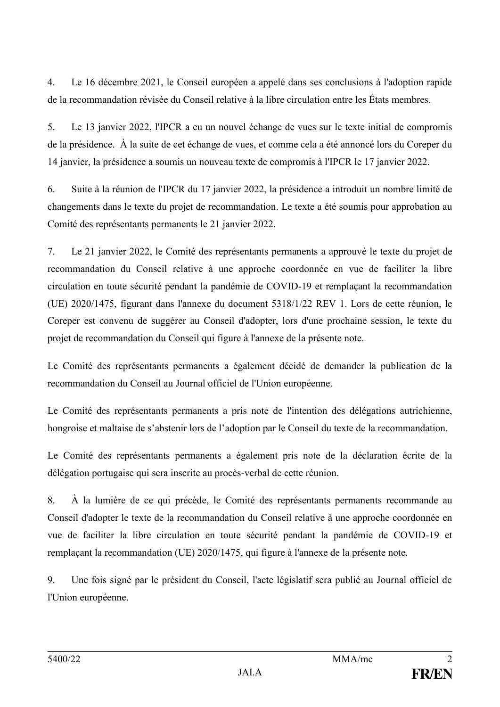4. Le 16 décembre 2021, le Conseil européen a appelé dans ses conclusions à l'adoption rapide de la recommandation révisée du Conseil relative à la libre circulation entre les États membres.

5. Le 13 janvier 2022, l'IPCR a eu un nouvel échange de vues sur le texte initial de compromis de la présidence. À la suite de cet échange de vues, et comme cela a été annoncé lors du Coreper du 14 janvier, la présidence a soumis un nouveau texte de compromis à l'IPCR le 17 janvier 2022.

6. Suite à la réunion de l'IPCR du 17 janvier 2022, la présidence a introduit un nombre limité de changements dans le texte du projet de recommandation. Le texte a été soumis pour approbation au Comité des représentants permanents le 21 janvier 2022.

7. Le 21 janvier 2022, le Comité des représentants permanents a approuvé le texte du projet de recommandation du Conseil relative à une approche coordonnée en vue de faciliter la libre circulation en toute sécurité pendant la pandémie de COVID-19 et remplaçant la recommandation (UE) 2020/1475, figurant dans l'annexe du document 5318/1/22 REV 1. Lors de cette réunion, le Coreper est convenu de suggérer au Conseil d'adopter, lors d'une prochaine session, le texte du projet de recommandation du Conseil qui figure à l'annexe de la présente note.

Le Comité des représentants permanents a également décidé de demander la publication de la recommandation du Conseil au Journal officiel de l'Union européenne.

Le Comité des représentants permanents a pris note de l'intention des délégations autrichienne, hongroise et maltaise de s'abstenir lors de l'adoption par le Conseil du texte de la recommandation.

Le Comité des représentants permanents a également pris note de la déclaration écrite de la délégation portugaise qui sera inscrite au procès-verbal de cette réunion.

8. À la lumière de ce qui précède, le Comité des représentants permanents recommande au Conseil d'adopter le texte de la recommandation du Conseil relative à une approche coordonnée en vue de faciliter la libre circulation en toute sécurité pendant la pandémie de COVID-19 et remplaçant la recommandation (UE) 2020/1475, qui figure à l'annexe de la présente note.

9. Une fois signé par le président du Conseil, l'acte législatif sera publié au Journal officiel de l'Union européenne.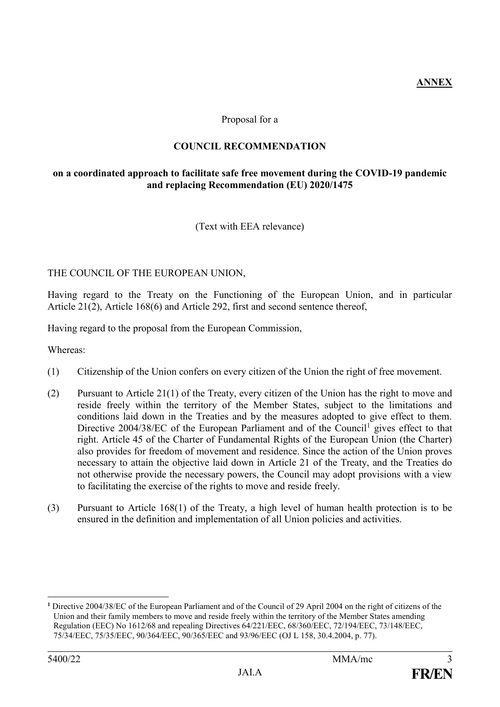**ANNEX**

### Proposal for a

# **COUNCIL RECOMMENDATION**

### **on a coordinated approach to facilitate safe free movement during the COVID-19 pandemic and replacing Recommendation (EU) 2020/1475**

(Text with EEA relevance)

### THE COUNCIL OF THE EUROPEAN UNION,

Having regard to the Treaty on the Functioning of the European Union, and in particular Article 21(2), Article 168(6) and Article 292, first and second sentence thereof,

Having regard to the proposal from the European Commission,

Whereas:

- (1) Citizenship of the Union confers on every citizen of the Union the right of free movement.
- (2) Pursuant to Article 21(1) of the Treaty, every citizen of the Union has the right to move and reside freely within the territory of the Member States, subject to the limitations and conditions laid down in the Treaties and by the measures adopted to give effect to them. Directive  $2004/38/EC$  of the European Parliament and of the Council<sup>1</sup> gives effect to that right. Article 45 of the Charter of Fundamental Rights of the European Union (the Charter) also provides for freedom of movement and residence. Since the action of the Union proves necessary to attain the objective laid down in Article 21 of the Treaty, and the Treaties do not otherwise provide the necessary powers, the Council may adopt provisions with a view to facilitating the exercise of the rights to move and reside freely.
- (3) Pursuant to Article 168(1) of the Treaty, a high level of human health protection is to be ensured in the definition and implementation of all Union policies and activities.

<u>.</u>

**<sup>1</sup>** Directive 2004/38/EC of the European Parliament and of the Council of 29 April 2004 on the right of citizens of the Union and their family members to move and reside freely within the territory of the Member States amending Regulation (EEC) No 1612/68 and repealing Directives 64/221/EEC, 68/360/EEC, 72/194/EEC, 73/148/EEC, 75/34/EEC, 75/35/EEC, 90/364/EEC, 90/365/EEC and 93/96/EEC (OJ L 158, 30.4.2004, p. 77).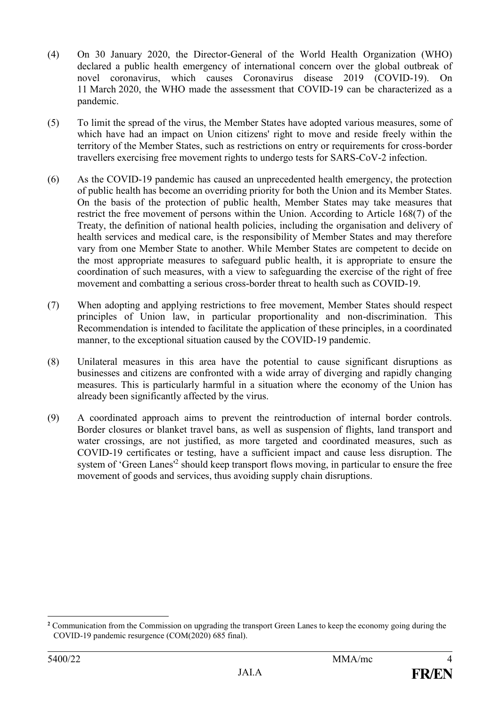- (4) On 30 January 2020, the Director-General of the World Health Organization (WHO) declared a public health emergency of international concern over the global outbreak of novel coronavirus, which causes Coronavirus disease 2019 (COVID-19). On 11 March 2020, the WHO made the assessment that COVID-19 can be characterized as a pandemic.
- (5) To limit the spread of the virus, the Member States have adopted various measures, some of which have had an impact on Union citizens' right to move and reside freely within the territory of the Member States, such as restrictions on entry or requirements for cross-border travellers exercising free movement rights to undergo tests for SARS-CoV-2 infection.
- (6) As the COVID-19 pandemic has caused an unprecedented health emergency, the protection of public health has become an overriding priority for both the Union and its Member States. On the basis of the protection of public health, Member States may take measures that restrict the free movement of persons within the Union. According to Article 168(7) of the Treaty, the definition of national health policies, including the organisation and delivery of health services and medical care, is the responsibility of Member States and may therefore vary from one Member State to another. While Member States are competent to decide on the most appropriate measures to safeguard public health, it is appropriate to ensure the coordination of such measures, with a view to safeguarding the exercise of the right of free movement and combatting a serious cross-border threat to health such as COVID-19.
- (7) When adopting and applying restrictions to free movement, Member States should respect principles of Union law, in particular proportionality and non-discrimination. This Recommendation is intended to facilitate the application of these principles, in a coordinated manner, to the exceptional situation caused by the COVID-19 pandemic.
- (8) Unilateral measures in this area have the potential to cause significant disruptions as businesses and citizens are confronted with a wide array of diverging and rapidly changing measures. This is particularly harmful in a situation where the economy of the Union has already been significantly affected by the virus.
- (9) A coordinated approach aims to prevent the reintroduction of internal border controls. Border closures or blanket travel bans, as well as suspension of flights, land transport and water crossings, are not justified, as more targeted and coordinated measures, such as COVID-19 certificates or testing, have a sufficient impact and cause less disruption. The system of 'Green Lanes<sup>12</sup> should keep transport flows moving, in particular to ensure the free movement of goods and services, thus avoiding supply chain disruptions.

**<sup>2</sup>** Communication from the Commission on upgrading the transport Green Lanes to keep the economy going during the COVID-19 pandemic resurgence (COM(2020) 685 final).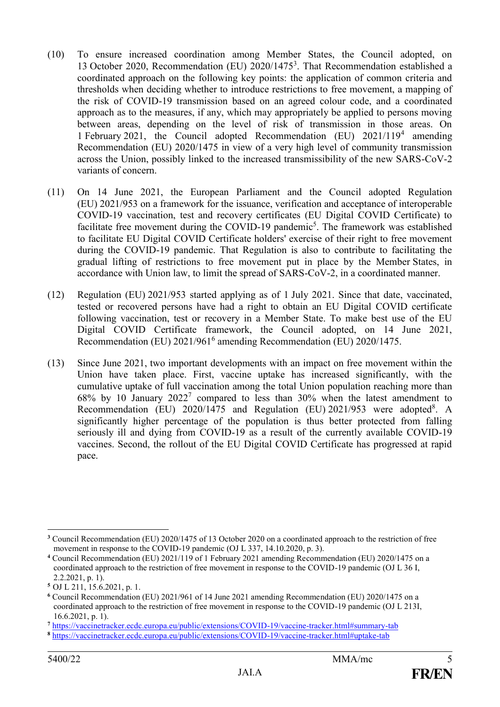- (10) To ensure increased coordination among Member States, the Council adopted, on 13 October 2020, Recommendation (EU) 2020/1475<sup>3</sup> . That Recommendation established a coordinated approach on the following key points: the application of common criteria and thresholds when deciding whether to introduce restrictions to free movement, a mapping of the risk of COVID-19 transmission based on an agreed colour code, and a coordinated approach as to the measures, if any, which may appropriately be applied to persons moving between areas, depending on the level of risk of transmission in those areas. On 1 February 2021, the Council adopted Recommendation (EU) 2021/119<sup>4</sup> amending Recommendation (EU) 2020/1475 in view of a very high level of community transmission across the Union, possibly linked to the increased transmissibility of the new SARS-CoV-2 variants of concern.
- (11) On 14 June 2021, the European Parliament and the Council adopted Regulation (EU) 2021/953 on a framework for the issuance, verification and acceptance of interoperable COVID-19 vaccination, test and recovery certificates (EU Digital COVID Certificate) to facilitate free movement during the COVID-19 pandemic<sup>5</sup>. The framework was established to facilitate EU Digital COVID Certificate holders' exercise of their right to free movement during the COVID-19 pandemic. That Regulation is also to contribute to facilitating the gradual lifting of restrictions to free movement put in place by the Member States, in accordance with Union law, to limit the spread of SARS-CoV-2, in a coordinated manner.
- (12) Regulation (EU) 2021/953 started applying as of 1 July 2021. Since that date, vaccinated, tested or recovered persons have had a right to obtain an EU Digital COVID certificate following vaccination, test or recovery in a Member State. To make best use of the EU Digital COVID Certificate framework, the Council adopted, on 14 June 2021, Recommendation (EU) 2021/961<sup>6</sup> amending Recommendation (EU) 2020/1475.
- (13) Since June 2021, two important developments with an impact on free movement within the Union have taken place. First, vaccine uptake has increased significantly, with the cumulative uptake of full vaccination among the total Union population reaching more than  $68\%$  by 10 January  $2022<sup>7</sup>$  compared to less than 30% when the latest amendment to Recommendation (EU) 2020/1475 and Regulation (EU) 2021/953 were adopted<sup>8</sup>. A significantly higher percentage of the population is thus better protected from falling seriously ill and dying from COVID-19 as a result of the currently available COVID-19 vaccines. Second, the rollout of the EU Digital COVID Certificate has progressed at rapid pace.

<sup>1</sup> **<sup>3</sup>** Council Recommendation (EU) 2020/1475 of 13 October 2020 on a coordinated approach to the restriction of free movement in response to the COVID-19 pandemic (OJ L 337, 14.10.2020, p. 3).

**<sup>4</sup>** Council Recommendation (EU) 2021/119 of 1 February 2021 amending Recommendation (EU) 2020/1475 on a coordinated approach to the restriction of free movement in response to the COVID-19 pandemic (OJ L 36 I, 2.2.2021, p. 1).

**<sup>5</sup>** OJ L 211, 15.6.2021, p. 1.

**<sup>6</sup>** Council Recommendation (EU) 2021/961 of 14 June 2021 amending Recommendation (EU) 2020/1475 on a coordinated approach to the restriction of free movement in response to the COVID-19 pandemic (OJ L 213I, 16.6.2021, p. 1).

**<sup>7</sup>** <https://vaccinetracker.ecdc.europa.eu/public/extensions/COVID-19/vaccine-tracker.html#summary-tab>

**<sup>8</sup>** <https://vaccinetracker.ecdc.europa.eu/public/extensions/COVID-19/vaccine-tracker.html#uptake-tab>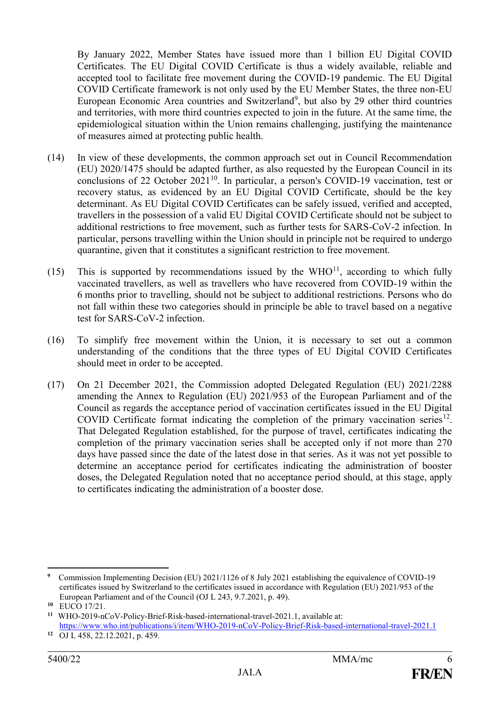By January 2022, Member States have issued more than 1 billion EU Digital COVID Certificates. The EU Digital COVID Certificate is thus a widely available, reliable and accepted tool to facilitate free movement during the COVID-19 pandemic. The EU Digital COVID Certificate framework is not only used by the EU Member States, the three non-EU European Economic Area countries and Switzerland<sup>9</sup>, but also by 29 other third countries and territories, with more third countries expected to join in the future. At the same time, the epidemiological situation within the Union remains challenging, justifying the maintenance of measures aimed at protecting public health.

- (14) In view of these developments, the common approach set out in Council Recommendation (EU) 2020/1475 should be adapted further, as also requested by the European Council in its conclusions of 22 October 2021<sup>10</sup>. In particular, a person's COVID-19 vaccination, test or recovery status, as evidenced by an EU Digital COVID Certificate, should be the key determinant. As EU Digital COVID Certificates can be safely issued, verified and accepted, travellers in the possession of a valid EU Digital COVID Certificate should not be subject to additional restrictions to free movement, such as further tests for SARS-CoV-2 infection. In particular, persons travelling within the Union should in principle not be required to undergo quarantine, given that it constitutes a significant restriction to free movement.
- (15) This is supported by recommendations issued by the  $WHO<sup>11</sup>$ , according to which fully vaccinated travellers, as well as travellers who have recovered from COVID-19 within the 6 months prior to travelling, should not be subject to additional restrictions. Persons who do not fall within these two categories should in principle be able to travel based on a negative test for SARS-CoV-2 infection.
- (16) To simplify free movement within the Union, it is necessary to set out a common understanding of the conditions that the three types of EU Digital COVID Certificates should meet in order to be accepted.
- (17) On 21 December 2021, the Commission adopted Delegated Regulation (EU) 2021/2288 amending the Annex to Regulation (EU) 2021/953 of the European Parliament and of the Council as regards the acceptance period of vaccination certificates issued in the EU Digital COVID Certificate format indicating the completion of the primary vaccination series $12$ . That Delegated Regulation established, for the purpose of travel, certificates indicating the completion of the primary vaccination series shall be accepted only if not more than 270 days have passed since the date of the latest dose in that series. As it was not yet possible to determine an acceptance period for certificates indicating the administration of booster doses, the Delegated Regulation noted that no acceptance period should, at this stage, apply to certificates indicating the administration of a booster dose.

<sup>&</sup>lt;u>.</u> **9** Commission Implementing Decision (EU) 2021/1126 of 8 July 2021 establishing the equivalence of COVID-19 certificates issued by Switzerland to the certificates issued in accordance with Regulation (EU) 2021/953 of the European Parliament and of the Council (OJ L 243, 9.7.2021, p. 49).

**<sup>10</sup>** EUCO 17/21.

**<sup>11</sup>** WHO-2019-nCoV-Policy-Brief-Risk-based-international-travel-2021.1, available at: <https://www.who.int/publications/i/item/WHO-2019-nCoV-Policy-Brief-Risk-based-international-travel-2021.1>

**<sup>12</sup>** OJ L 458, 22.12.2021, p. 459.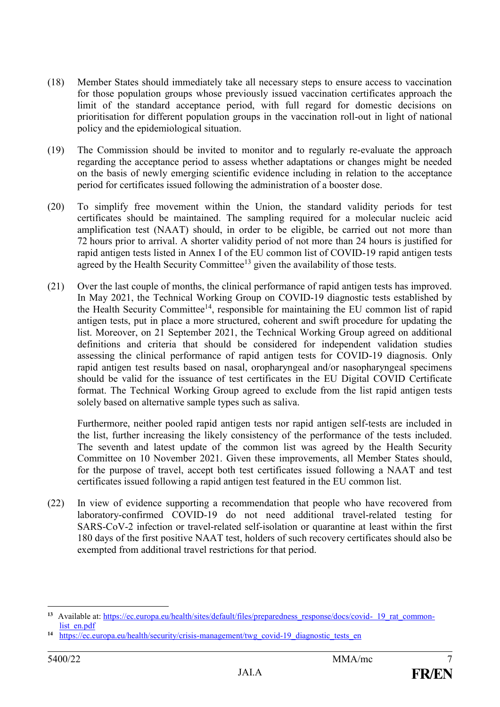- (18) Member States should immediately take all necessary steps to ensure access to vaccination for those population groups whose previously issued vaccination certificates approach the limit of the standard acceptance period, with full regard for domestic decisions on prioritisation for different population groups in the vaccination roll-out in light of national policy and the epidemiological situation.
- (19) The Commission should be invited to monitor and to regularly re-evaluate the approach regarding the acceptance period to assess whether adaptations or changes might be needed on the basis of newly emerging scientific evidence including in relation to the acceptance period for certificates issued following the administration of a booster dose.
- (20) To simplify free movement within the Union, the standard validity periods for test certificates should be maintained. The sampling required for a molecular nucleic acid amplification test (NAAT) should, in order to be eligible, be carried out not more than 72 hours prior to arrival. A shorter validity period of not more than 24 hours is justified for rapid antigen tests listed in Annex I of the EU common list of COVID-19 rapid antigen tests agreed by the Health Security Committee<sup>13</sup> given the availability of those tests.
- (21) Over the last couple of months, the clinical performance of rapid antigen tests has improved. In May 2021, the Technical Working Group on COVID-19 diagnostic tests established by the Health Security Committee<sup>14</sup>, responsible for maintaining the EU common list of rapid antigen tests, put in place a more structured, coherent and swift procedure for updating the list. Moreover, on 21 September 2021, the Technical Working Group agreed on additional definitions and criteria that should be considered for independent validation studies assessing the clinical performance of rapid antigen tests for COVID-19 diagnosis. Only rapid antigen test results based on nasal, oropharyngeal and/or nasopharyngeal specimens should be valid for the issuance of test certificates in the EU Digital COVID Certificate format. The Technical Working Group agreed to exclude from the list rapid antigen tests solely based on alternative sample types such as saliva.

Furthermore, neither pooled rapid antigen tests nor rapid antigen self-tests are included in the list, further increasing the likely consistency of the performance of the tests included. The seventh and latest update of the common list was agreed by the Health Security Committee on 10 November 2021. Given these improvements, all Member States should, for the purpose of travel, accept both test certificates issued following a NAAT and test certificates issued following a rapid antigen test featured in the EU common list.

(22) In view of evidence supporting a recommendation that people who have recovered from laboratory-confirmed COVID-19 do not need additional travel-related testing for SARS-CoV-2 infection or travel-related self-isolation or quarantine at least within the first 180 days of the first positive NAAT test, holders of such recovery certificates should also be exempted from additional travel restrictions for that period.

<sup>13</sup> Available at: [https://ec.europa.eu/health/sites/default/files/preparedness\\_response/docs/covid- 19\\_rat\\_common](https://ec.europa.eu/health/sites/default/files/preparedness_response/docs/covid-%20%2019_rat_common-list_en.pdf)[list\\_en.pdf](https://ec.europa.eu/health/sites/default/files/preparedness_response/docs/covid-%20%2019_rat_common-list_en.pdf)

<sup>&</sup>lt;sup>14</sup> [https://ec.europa.eu/health/security/crisis-management/twg\\_covid-19\\_diagnostic\\_tests\\_en](https://ec.europa.eu/health/security/crisis-management/twg_covid-19_diagnostic_tests_en)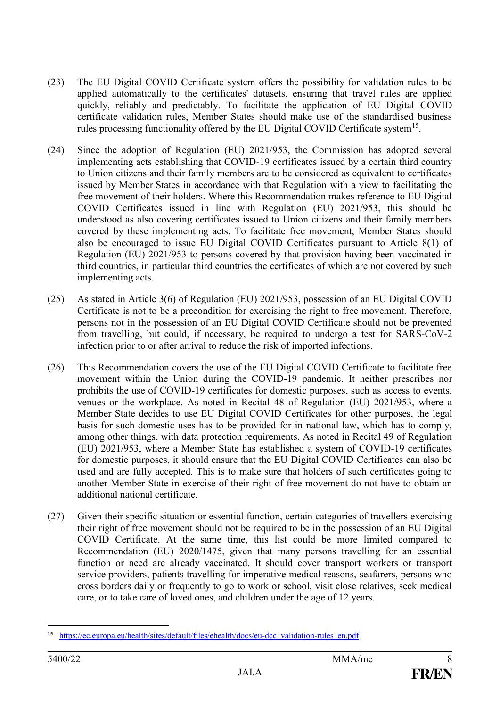- (23) The EU Digital COVID Certificate system offers the possibility for validation rules to be applied automatically to the certificates' datasets, ensuring that travel rules are applied quickly, reliably and predictably. To facilitate the application of EU Digital COVID certificate validation rules, Member States should make use of the standardised business rules processing functionality offered by the EU Digital COVID Certificate system<sup>15</sup>.
- (24) Since the adoption of Regulation (EU) 2021/953, the Commission has adopted several implementing acts establishing that COVID-19 certificates issued by a certain third country to Union citizens and their family members are to be considered as equivalent to certificates issued by Member States in accordance with that Regulation with a view to facilitating the free movement of their holders. Where this Recommendation makes reference to EU Digital COVID Certificates issued in line with Regulation (EU) 2021/953, this should be understood as also covering certificates issued to Union citizens and their family members covered by these implementing acts. To facilitate free movement, Member States should also be encouraged to issue EU Digital COVID Certificates pursuant to Article 8(1) of Regulation (EU) 2021/953 to persons covered by that provision having been vaccinated in third countries, in particular third countries the certificates of which are not covered by such implementing acts.
- (25) As stated in Article 3(6) of Regulation (EU) 2021/953, possession of an EU Digital COVID Certificate is not to be a precondition for exercising the right to free movement. Therefore, persons not in the possession of an EU Digital COVID Certificate should not be prevented from travelling, but could, if necessary, be required to undergo a test for SARS-CoV-2 infection prior to or after arrival to reduce the risk of imported infections.
- (26) This Recommendation covers the use of the EU Digital COVID Certificate to facilitate free movement within the Union during the COVID-19 pandemic. It neither prescribes nor prohibits the use of COVID-19 certificates for domestic purposes, such as access to events, venues or the workplace. As noted in Recital 48 of Regulation (EU) 2021/953, where a Member State decides to use EU Digital COVID Certificates for other purposes, the legal basis for such domestic uses has to be provided for in national law, which has to comply, among other things, with data protection requirements. As noted in Recital 49 of Regulation (EU) 2021/953, where a Member State has established a system of COVID-19 certificates for domestic purposes, it should ensure that the EU Digital COVID Certificates can also be used and are fully accepted. This is to make sure that holders of such certificates going to another Member State in exercise of their right of free movement do not have to obtain an additional national certificate.
- (27) Given their specific situation or essential function, certain categories of travellers exercising their right of free movement should not be required to be in the possession of an EU Digital COVID Certificate. At the same time, this list could be more limited compared to Recommendation (EU) 2020/1475, given that many persons travelling for an essential function or need are already vaccinated. It should cover transport workers or transport service providers, patients travelling for imperative medical reasons, seafarers, persons who cross borders daily or frequently to go to work or school, visit close relatives, seek medical care, or to take care of loved ones, and children under the age of 12 years.

<sup>&</sup>lt;u>.</u> 15 [https://ec.europa.eu/health/sites/default/files/ehealth/docs/eu-dcc\\_validation-rules\\_en.pdf](https://ec.europa.eu/health/sites/default/files/ehealth/docs/eu-dcc_validation-rules_en.pdf)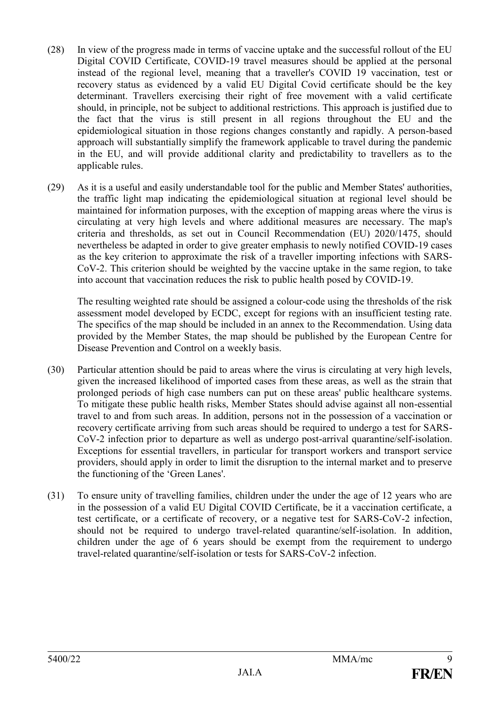- (28) In view of the progress made in terms of vaccine uptake and the successful rollout of the EU Digital COVID Certificate, COVID-19 travel measures should be applied at the personal instead of the regional level, meaning that a traveller's COVID 19 vaccination, test or recovery status as evidenced by a valid EU Digital Covid certificate should be the key determinant. Travellers exercising their right of free movement with a valid certificate should, in principle, not be subject to additional restrictions. This approach is justified due to the fact that the virus is still present in all regions throughout the EU and the epidemiological situation in those regions changes constantly and rapidly. A person-based approach will substantially simplify the framework applicable to travel during the pandemic in the EU, and will provide additional clarity and predictability to travellers as to the applicable rules.
- (29) As it is a useful and easily understandable tool for the public and Member States' authorities, the traffic light map indicating the epidemiological situation at regional level should be maintained for information purposes, with the exception of mapping areas where the virus is circulating at very high levels and where additional measures are necessary. The map's criteria and thresholds, as set out in Council Recommendation (EU) 2020/1475, should nevertheless be adapted in order to give greater emphasis to newly notified COVID-19 cases as the key criterion to approximate the risk of a traveller importing infections with SARS-CoV-2. This criterion should be weighted by the vaccine uptake in the same region, to take into account that vaccination reduces the risk to public health posed by COVID-19.

The resulting weighted rate should be assigned a colour-code using the thresholds of the risk assessment model developed by ECDC, except for regions with an insufficient testing rate. The specifics of the map should be included in an annex to the Recommendation. Using data provided by the Member States, the map should be published by the European Centre for Disease Prevention and Control on a weekly basis.

- (30) Particular attention should be paid to areas where the virus is circulating at very high levels, given the increased likelihood of imported cases from these areas, as well as the strain that prolonged periods of high case numbers can put on these areas' public healthcare systems. To mitigate these public health risks, Member States should advise against all non-essential travel to and from such areas. In addition, persons not in the possession of a vaccination or recovery certificate arriving from such areas should be required to undergo a test for SARS-CoV-2 infection prior to departure as well as undergo post-arrival quarantine/self-isolation. Exceptions for essential travellers, in particular for transport workers and transport service providers, should apply in order to limit the disruption to the internal market and to preserve the functioning of the 'Green Lanes'.
- (31) To ensure unity of travelling families, children under the under the age of 12 years who are in the possession of a valid EU Digital COVID Certificate, be it a vaccination certificate, a test certificate, or a certificate of recovery, or a negative test for SARS-CoV-2 infection, should not be required to undergo travel-related quarantine/self-isolation. In addition, children under the age of 6 years should be exempt from the requirement to undergo travel-related quarantine/self-isolation or tests for SARS-CoV-2 infection.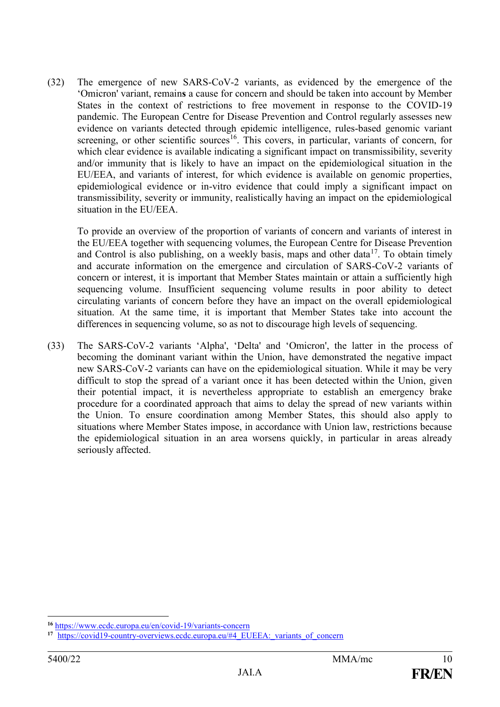(32) The emergence of new SARS-CoV-2 variants, as evidenced by the emergence of the 'Omicron' variant, remain**s** a cause for concern and should be taken into account by Member States in the context of restrictions to free movement in response to the COVID-19 pandemic. The European Centre for Disease Prevention and Control regularly assesses new evidence on variants detected through epidemic intelligence, rules-based genomic variant screening, or other scientific sources<sup>16</sup>. This covers, in particular, variants of concern, for which clear evidence is available indicating a significant impact on transmissibility, severity and/or immunity that is likely to have an impact on the epidemiological situation in the EU/EEA, and variants of interest, for which evidence is available on genomic properties, epidemiological evidence or in-vitro evidence that could imply a significant impact on transmissibility, severity or immunity, realistically having an impact on the epidemiological situation in the EU/EEA.

To provide an overview of the proportion of variants of concern and variants of interest in the EU/EEA together with sequencing volumes, the European Centre for Disease Prevention and Control is also publishing, on a weekly basis, maps and other data<sup>17</sup>. To obtain timely and accurate information on the emergence and circulation of SARS-CoV-2 variants of concern or interest, it is important that Member States maintain or attain a sufficiently high sequencing volume. Insufficient sequencing volume results in poor ability to detect circulating variants of concern before they have an impact on the overall epidemiological situation. At the same time, it is important that Member States take into account the differences in sequencing volume, so as not to discourage high levels of sequencing.

(33) The SARS-CoV-2 variants 'Alpha', 'Delta' and 'Omicron', the latter in the process of becoming the dominant variant within the Union, have demonstrated the negative impact new SARS-CoV-2 variants can have on the epidemiological situation. While it may be very difficult to stop the spread of a variant once it has been detected within the Union, given their potential impact, it is nevertheless appropriate to establish an emergency brake procedure for a coordinated approach that aims to delay the spread of new variants within the Union. To ensure coordination among Member States, this should also apply to situations where Member States impose, in accordance with Union law, restrictions because the epidemiological situation in an area worsens quickly, in particular in areas already seriously affected.

**<sup>16</sup>** <https://www.ecdc.europa.eu/en/covid-19/variants-concern>

<sup>&</sup>lt;sup>17</sup> [https://covid19-country-overviews.ecdc.europa.eu/#4\\_EUEEA:\\_variants\\_of\\_concern](https://covid19-country-overviews.ecdc.europa.eu/#4_EUEEA:_variants_of_concern)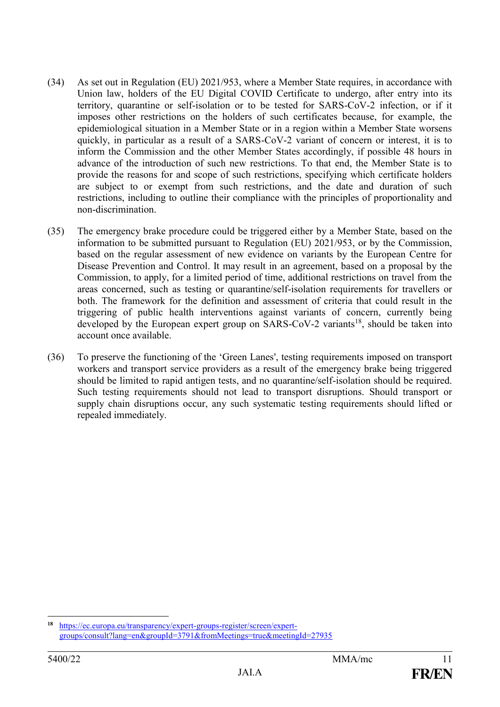- (34) As set out in Regulation (EU) 2021/953, where a Member State requires, in accordance with Union law, holders of the EU Digital COVID Certificate to undergo, after entry into its territory, quarantine or self-isolation or to be tested for SARS-CoV-2 infection, or if it imposes other restrictions on the holders of such certificates because, for example, the epidemiological situation in a Member State or in a region within a Member State worsens quickly, in particular as a result of a SARS-CoV-2 variant of concern or interest, it is to inform the Commission and the other Member States accordingly, if possible 48 hours in advance of the introduction of such new restrictions. To that end, the Member State is to provide the reasons for and scope of such restrictions, specifying which certificate holders are subject to or exempt from such restrictions, and the date and duration of such restrictions, including to outline their compliance with the principles of proportionality and non-discrimination.
- (35) The emergency brake procedure could be triggered either by a Member State, based on the information to be submitted pursuant to Regulation (EU) 2021/953, or by the Commission, based on the regular assessment of new evidence on variants by the European Centre for Disease Prevention and Control. It may result in an agreement, based on a proposal by the Commission, to apply, for a limited period of time, additional restrictions on travel from the areas concerned, such as testing or quarantine/self-isolation requirements for travellers or both. The framework for the definition and assessment of criteria that could result in the triggering of public health interventions against variants of concern, currently being developed by the European expert group on  $SARS-CoV-2$  variants<sup>18</sup>, should be taken into account once available.
- (36) To preserve the functioning of the 'Green Lanes', testing requirements imposed on transport workers and transport service providers as a result of the emergency brake being triggered should be limited to rapid antigen tests, and no quarantine/self-isolation should be required. Such testing requirements should not lead to transport disruptions. Should transport or supply chain disruptions occur, any such systematic testing requirements should lifted or repealed immediately.

**<sup>18</sup>** [https://ec.europa.eu/transparency/expert-groups-register/screen/expert](https://ec.europa.eu/transparency/expert-groups-register/screen/expert-groups/consult?lang=en&groupId=3791&fromMeetings=true&meetingId=27935)[groups/consult?lang=en&groupId=3791&fromMeetings=true&meetingId=27935](https://ec.europa.eu/transparency/expert-groups-register/screen/expert-groups/consult?lang=en&groupId=3791&fromMeetings=true&meetingId=27935)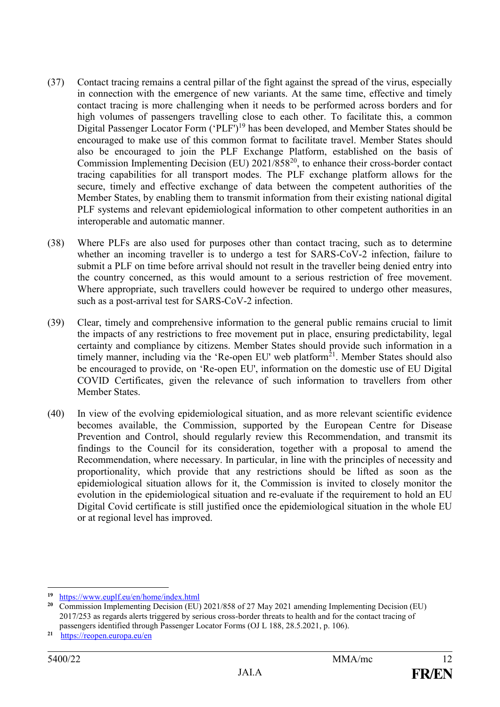- (37) Contact tracing remains a central pillar of the fight against the spread of the virus, especially in connection with the emergence of new variants. At the same time, effective and timely contact tracing is more challenging when it needs to be performed across borders and for high volumes of passengers travelling close to each other. To facilitate this, a common Digital Passenger Locator Form ('PLF')<sup>19</sup> has been developed, and Member States should be encouraged to make use of this common format to facilitate travel. Member States should also be encouraged to join the PLF Exchange Platform, established on the basis of Commission Implementing Decision (EU) 2021/858<sup>20</sup>, to enhance their cross-border contact tracing capabilities for all transport modes. The PLF exchange platform allows for the secure, timely and effective exchange of data between the competent authorities of the Member States, by enabling them to transmit information from their existing national digital PLF systems and relevant epidemiological information to other competent authorities in an interoperable and automatic manner.
- (38) Where PLFs are also used for purposes other than contact tracing, such as to determine whether an incoming traveller is to undergo a test for SARS-CoV-2 infection, failure to submit a PLF on time before arrival should not result in the traveller being denied entry into the country concerned, as this would amount to a serious restriction of free movement. Where appropriate, such travellers could however be required to undergo other measures, such as a post-arrival test for SARS-CoV-2 infection.
- (39) Clear, timely and comprehensive information to the general public remains crucial to limit the impacts of any restrictions to free movement put in place, ensuring predictability, legal certainty and compliance by citizens. Member States should provide such information in a timely manner, including via the 'Re-open EU' web platform<sup>21</sup>. Member States should also be encouraged to provide, on 'Re-open EU', information on the domestic use of EU Digital COVID Certificates, given the relevance of such information to travellers from other Member States.
- (40) In view of the evolving epidemiological situation, and as more relevant scientific evidence becomes available, the Commission, supported by the European Centre for Disease Prevention and Control, should regularly review this Recommendation, and transmit its findings to the Council for its consideration, together with a proposal to amend the Recommendation, where necessary. In particular, in line with the principles of necessity and proportionality, which provide that any restrictions should be lifted as soon as the epidemiological situation allows for it, the Commission is invited to closely monitor the evolution in the epidemiological situation and re-evaluate if the requirement to hold an EU Digital Covid certificate is still justified once the epidemiological situation in the whole EU or at regional level has improved.

<sup>1</sup> **19** <https://www.euplf.eu/en/home/index.html>

**<sup>20</sup>** Commission Implementing Decision (EU) 2021/858 of 27 May 2021 amending Implementing Decision (EU) 2017/253 as regards alerts triggered by serious cross-border threats to health and for the contact tracing of passengers identified through Passenger Locator Forms (OJ L 188, 28.5.2021, p. 106).

**<sup>21</sup>** <https://reopen.europa.eu/en>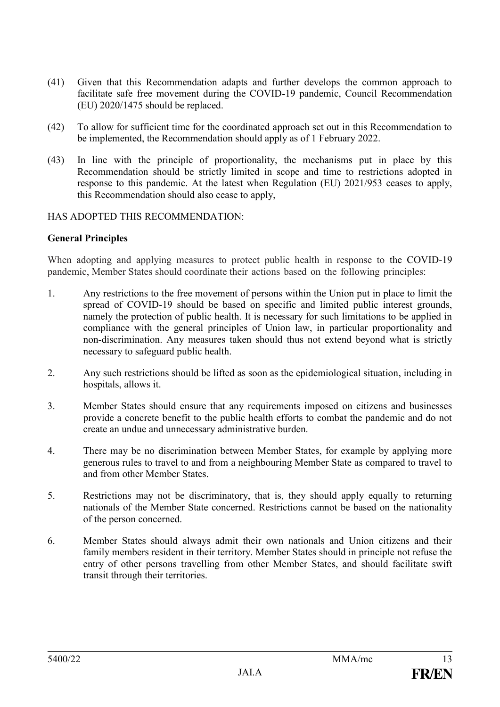- (41) Given that this Recommendation adapts and further develops the common approach to facilitate safe free movement during the COVID-19 pandemic, Council Recommendation (EU) 2020/1475 should be replaced.
- (42) To allow for sufficient time for the coordinated approach set out in this Recommendation to be implemented, the Recommendation should apply as of 1 February 2022.
- (43) In line with the principle of proportionality, the mechanisms put in place by this Recommendation should be strictly limited in scope and time to restrictions adopted in response to this pandemic. At the latest when Regulation (EU) 2021/953 ceases to apply, this Recommendation should also cease to apply,

### HAS ADOPTED THIS RECOMMENDATION:

### **General Principles**

When adopting and applying measures to protect public health in response to the COVID-19 pandemic, Member States should coordinate their actions based on the following principles:

- 1. Any restrictions to the free movement of persons within the Union put in place to limit the spread of COVID-19 should be based on specific and limited public interest grounds, namely the protection of public health. It is necessary for such limitations to be applied in compliance with the general principles of Union law, in particular proportionality and non-discrimination. Any measures taken should thus not extend beyond what is strictly necessary to safeguard public health.
- 2. Any such restrictions should be lifted as soon as the epidemiological situation, including in hospitals, allows it.
- 3. Member States should ensure that any requirements imposed on citizens and businesses provide a concrete benefit to the public health efforts to combat the pandemic and do not create an undue and unnecessary administrative burden.
- 4. There may be no discrimination between Member States, for example by applying more generous rules to travel to and from a neighbouring Member State as compared to travel to and from other Member States.
- 5. Restrictions may not be discriminatory, that is, they should apply equally to returning nationals of the Member State concerned. Restrictions cannot be based on the nationality of the person concerned.
- 6. Member States should always admit their own nationals and Union citizens and their family members resident in their territory. Member States should in principle not refuse the entry of other persons travelling from other Member States, and should facilitate swift transit through their territories.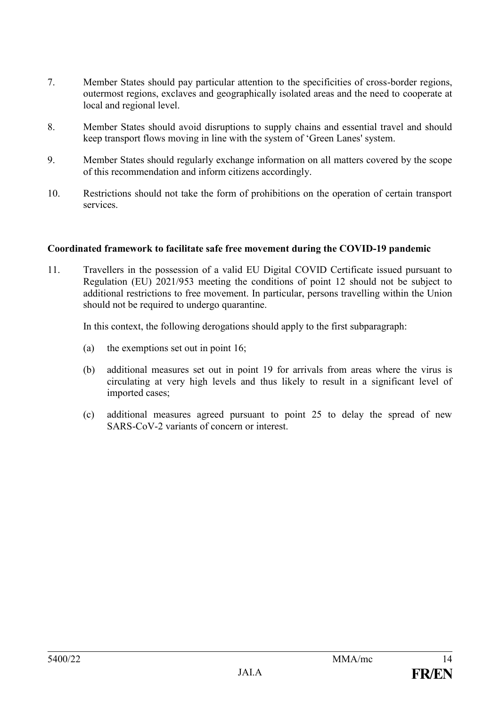- 7. Member States should pay particular attention to the specificities of cross-border regions, outermost regions, exclaves and geographically isolated areas and the need to cooperate at local and regional level.
- 8. Member States should avoid disruptions to supply chains and essential travel and should keep transport flows moving in line with the system of 'Green Lanes' system.
- 9. Member States should regularly exchange information on all matters covered by the scope of this recommendation and inform citizens accordingly.
- 10. Restrictions should not take the form of prohibitions on the operation of certain transport services.

#### **Coordinated framework to facilitate safe free movement during the COVID-19 pandemic**

11. Travellers in the possession of a valid EU Digital COVID Certificate issued pursuant to Regulation (EU) 2021/953 meeting the conditions of point 12 should not be subject to additional restrictions to free movement. In particular, persons travelling within the Union should not be required to undergo quarantine.

In this context, the following derogations should apply to the first subparagraph:

- (a) the exemptions set out in point 16;
- (b) additional measures set out in point 19 for arrivals from areas where the virus is circulating at very high levels and thus likely to result in a significant level of imported cases;
- (c) additional measures agreed pursuant to point 25 to delay the spread of new SARS-CoV-2 variants of concern or interest.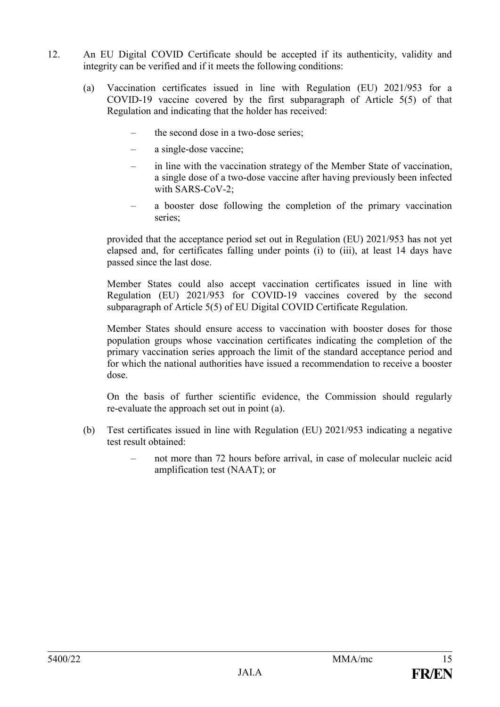- 12. An EU Digital COVID Certificate should be accepted if its authenticity, validity and integrity can be verified and if it meets the following conditions:
	- (a) Vaccination certificates issued in line with Regulation (EU) 2021/953 for a COVID-19 vaccine covered by the first subparagraph of Article 5(5) of that Regulation and indicating that the holder has received:
		- the second dose in a two-dose series;
		- a single-dose vaccine;
		- in line with the vaccination strategy of the Member State of vaccination, a single dose of a two-dose vaccine after having previously been infected with SARS-CoV-2;
		- a booster dose following the completion of the primary vaccination series;

provided that the acceptance period set out in Regulation (EU) 2021/953 has not yet elapsed and, for certificates falling under points (i) to (iii), at least 14 days have passed since the last dose.

Member States could also accept vaccination certificates issued in line with Regulation (EU) 2021/953 for COVID-19 vaccines covered by the second subparagraph of Article 5(5) of EU Digital COVID Certificate Regulation.

Member States should ensure access to vaccination with booster doses for those population groups whose vaccination certificates indicating the completion of the primary vaccination series approach the limit of the standard acceptance period and for which the national authorities have issued a recommendation to receive a booster dose.

On the basis of further scientific evidence, the Commission should regularly re-evaluate the approach set out in point (a).

- (b) Test certificates issued in line with Regulation (EU) 2021/953 indicating a negative test result obtained:
	- not more than 72 hours before arrival, in case of molecular nucleic acid amplification test (NAAT); or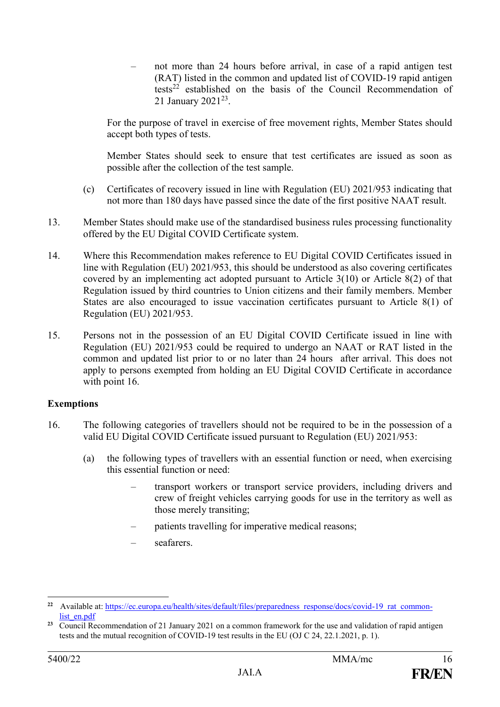– not more than 24 hours before arrival, in case of a rapid antigen test (RAT) listed in the common and updated list of COVID-19 rapid antigen  $t$ established on the basis of the Council Recommendation of 21 January 2021<sup>23</sup>.

For the purpose of travel in exercise of free movement rights, Member States should accept both types of tests.

Member States should seek to ensure that test certificates are issued as soon as possible after the collection of the test sample.

- (c) Certificates of recovery issued in line with Regulation (EU) 2021/953 indicating that not more than 180 days have passed since the date of the first positive NAAT result.
- 13. Member States should make use of the standardised business rules processing functionality offered by the EU Digital COVID Certificate system.
- 14. Where this Recommendation makes reference to EU Digital COVID Certificates issued in line with Regulation (EU) 2021/953, this should be understood as also covering certificates covered by an implementing act adopted pursuant to Article 3(10) or Article 8(2) of that Regulation issued by third countries to Union citizens and their family members. Member States are also encouraged to issue vaccination certificates pursuant to Article 8(1) of Regulation (EU) 2021/953.
- 15. Persons not in the possession of an EU Digital COVID Certificate issued in line with Regulation (EU) 2021/953 could be required to undergo an NAAT or RAT listed in the common and updated list prior to or no later than 24 hours after arrival. This does not apply to persons exempted from holding an EU Digital COVID Certificate in accordance with point 16.

### **Exemptions**

- 16. The following categories of travellers should not be required to be in the possession of a valid EU Digital COVID Certificate issued pursuant to Regulation (EU) 2021/953:
	- (a) the following types of travellers with an essential function or need, when exercising this essential function or need:
		- transport workers or transport service providers, including drivers and crew of freight vehicles carrying goods for use in the territory as well as those merely transiting;
		- patients travelling for imperative medical reasons;
		- seafarers.

<u>.</u>

**<sup>22</sup>** Available at: [https://ec.europa.eu/health/sites/default/files/preparedness\\_response/docs/covid-19\\_rat\\_common](https://ec.europa.eu/health/sites/default/files/preparedness_response/docs/covid-19_rat_common-list_en.pdf)[list\\_en.pdf](https://ec.europa.eu/health/sites/default/files/preparedness_response/docs/covid-19_rat_common-list_en.pdf)

<sup>&</sup>lt;sup>23</sup> Council Recommendation of 21 January 2021 on a common framework for the use and validation of rapid antigen tests and the mutual recognition of COVID-19 test results in the EU (OJ C 24, 22.1.2021, p. 1).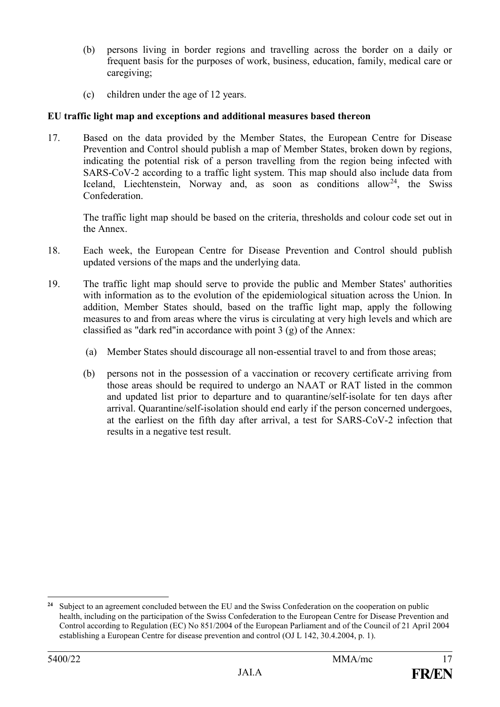- (b) persons living in border regions and travelling across the border on a daily or frequent basis for the purposes of work, business, education, family, medical care or caregiving;
- (c) children under the age of 12 years.

## **EU traffic light map and exceptions and additional measures based thereon**

17. Based on the data provided by the Member States, the European Centre for Disease Prevention and Control should publish a map of Member States, broken down by regions, indicating the potential risk of a person travelling from the region being infected with SARS-CoV-2 according to a traffic light system. This map should also include data from Iceland, Liechtenstein, Norway and, as soon as conditions allow<sup>24</sup>, the Swiss Confederation.

The traffic light map should be based on the criteria, thresholds and colour code set out in the Annex.

- 18. Each week, the European Centre for Disease Prevention and Control should publish updated versions of the maps and the underlying data.
- 19. The traffic light map should serve to provide the public and Member States' authorities with information as to the evolution of the epidemiological situation across the Union. In addition, Member States should, based on the traffic light map, apply the following measures to and from areas where the virus is circulating at very high levels and which are classified as "dark red"in accordance with point 3 (g) of the Annex:
	- (a) Member States should discourage all non-essential travel to and from those areas;
	- (b) persons not in the possession of a vaccination or recovery certificate arriving from those areas should be required to undergo an NAAT or RAT listed in the common and updated list prior to departure and to quarantine/self-isolate for ten days after arrival. Quarantine/self-isolation should end early if the person concerned undergoes, at the earliest on the fifth day after arrival, a test for SARS-CoV-2 infection that results in a negative test result.

<u>.</u>

**<sup>24</sup>** Subject to an agreement concluded between the EU and the Swiss Confederation on the cooperation on public health, including on the participation of the Swiss Confederation to the European Centre for Disease Prevention and Control according to Regulation (EC) No 851/2004 of the European Parliament and of the Council of 21 April 2004 establishing a European Centre for disease prevention and control (OJ L 142, 30.4.2004, p. 1).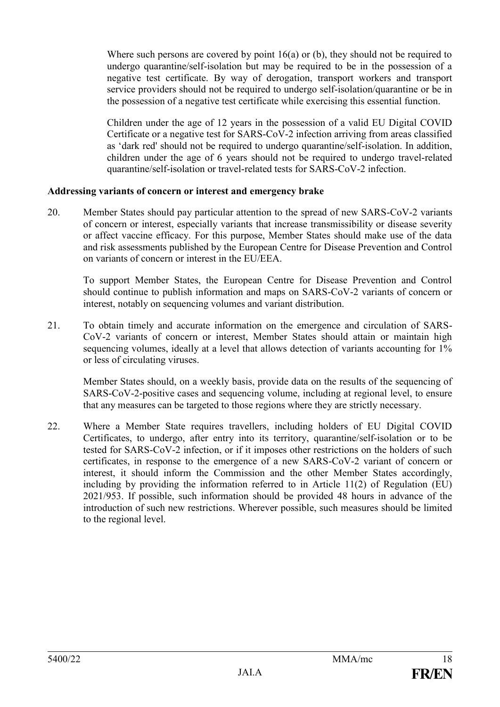Where such persons are covered by point 16(a) or (b), they should not be required to undergo quarantine/self-isolation but may be required to be in the possession of a negative test certificate. By way of derogation, transport workers and transport service providers should not be required to undergo self-isolation/quarantine or be in the possession of a negative test certificate while exercising this essential function.

Children under the age of 12 years in the possession of a valid EU Digital COVID Certificate or a negative test for SARS-CoV-2 infection arriving from areas classified as 'dark red' should not be required to undergo quarantine/self-isolation. In addition, children under the age of 6 years should not be required to undergo travel-related quarantine/self-isolation or travel-related tests for SARS-CoV-2 infection.

### **Addressing variants of concern or interest and emergency brake**

20. Member States should pay particular attention to the spread of new SARS-CoV-2 variants of concern or interest, especially variants that increase transmissibility or disease severity or affect vaccine efficacy. For this purpose, Member States should make use of the data and risk assessments published by the European Centre for Disease Prevention and Control on variants of concern or interest in the EU/EEA.

To support Member States, the European Centre for Disease Prevention and Control should continue to publish information and maps on SARS-CoV-2 variants of concern or interest, notably on sequencing volumes and variant distribution.

21. To obtain timely and accurate information on the emergence and circulation of SARS-CoV-2 variants of concern or interest, Member States should attain or maintain high sequencing volumes, ideally at a level that allows detection of variants accounting for 1% or less of circulating viruses.

Member States should, on a weekly basis, provide data on the results of the sequencing of SARS-CoV-2-positive cases and sequencing volume, including at regional level, to ensure that any measures can be targeted to those regions where they are strictly necessary.

22. Where a Member State requires travellers, including holders of EU Digital COVID Certificates, to undergo, after entry into its territory, quarantine/self-isolation or to be tested for SARS-CoV-2 infection, or if it imposes other restrictions on the holders of such certificates, in response to the emergence of a new SARS-CoV-2 variant of concern or interest, it should inform the Commission and the other Member States accordingly, including by providing the information referred to in Article 11(2) of Regulation (EU) 2021/953. If possible, such information should be provided 48 hours in advance of the introduction of such new restrictions. Wherever possible, such measures should be limited to the regional level.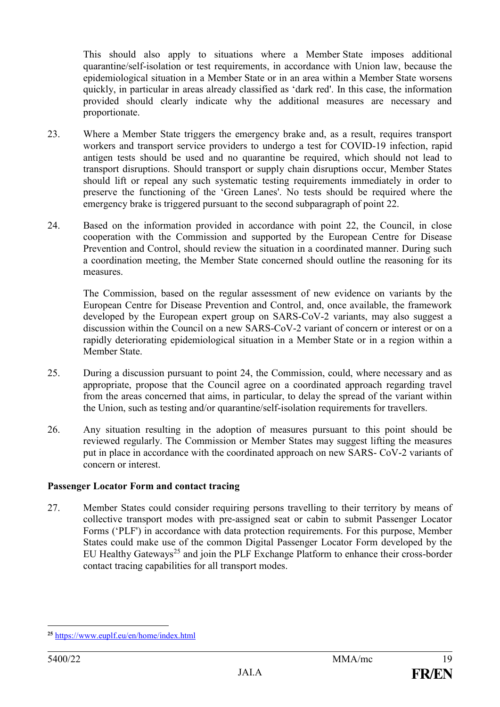This should also apply to situations where a Member State imposes additional quarantine/self-isolation or test requirements, in accordance with Union law, because the epidemiological situation in a Member State or in an area within a Member State worsens quickly, in particular in areas already classified as 'dark red'. In this case, the information provided should clearly indicate why the additional measures are necessary and proportionate.

- 23. Where a Member State triggers the emergency brake and, as a result, requires transport workers and transport service providers to undergo a test for COVID-19 infection, rapid antigen tests should be used and no quarantine be required, which should not lead to transport disruptions. Should transport or supply chain disruptions occur, Member States should lift or repeal any such systematic testing requirements immediately in order to preserve the functioning of the 'Green Lanes'. No tests should be required where the emergency brake is triggered pursuant to the second subparagraph of point 22.
- 24. Based on the information provided in accordance with point 22, the Council, in close cooperation with the Commission and supported by the European Centre for Disease Prevention and Control, should review the situation in a coordinated manner. During such a coordination meeting, the Member State concerned should outline the reasoning for its measures.

The Commission, based on the regular assessment of new evidence on variants by the European Centre for Disease Prevention and Control, and, once available, the framework developed by the European expert group on SARS-CoV-2 variants, may also suggest a discussion within the Council on a new SARS-CoV-2 variant of concern or interest or on a rapidly deteriorating epidemiological situation in a Member State or in a region within a Member State.

- 25. During a discussion pursuant to point 24, the Commission, could, where necessary and as appropriate, propose that the Council agree on a coordinated approach regarding travel from the areas concerned that aims, in particular, to delay the spread of the variant within the Union, such as testing and/or quarantine/self-isolation requirements for travellers.
- 26. Any situation resulting in the adoption of measures pursuant to this point should be reviewed regularly. The Commission or Member States may suggest lifting the measures put in place in accordance with the coordinated approach on new SARS- CoV-2 variants of concern or interest.

#### **Passenger Locator Form and contact tracing**

27. Member States could consider requiring persons travelling to their territory by means of collective transport modes with pre-assigned seat or cabin to submit Passenger Locator Forms ('PLF') in accordance with data protection requirements. For this purpose, Member States could make use of the common Digital Passenger Locator Form developed by the EU Healthy Gateways<sup>25</sup> and join the PLF Exchange Platform to enhance their cross-border contact tracing capabilities for all transport modes.

<sup>&</sup>lt;u>.</u> **<sup>25</sup>** <https://www.euplf.eu/en/home/index.html>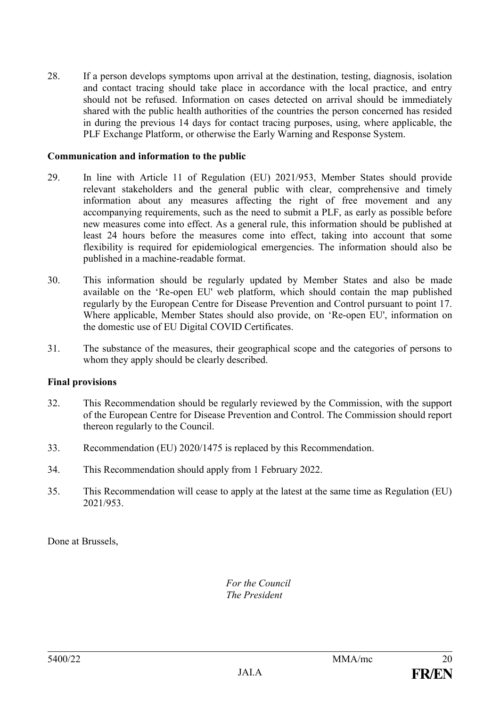28. If a person develops symptoms upon arrival at the destination, testing, diagnosis, isolation and contact tracing should take place in accordance with the local practice, and entry should not be refused. Information on cases detected on arrival should be immediately shared with the public health authorities of the countries the person concerned has resided in during the previous 14 days for contact tracing purposes, using, where applicable, the PLF Exchange Platform, or otherwise the Early Warning and Response System.

#### **Communication and information to the public**

- 29. In line with Article 11 of Regulation (EU) 2021/953, Member States should provide relevant stakeholders and the general public with clear, comprehensive and timely information about any measures affecting the right of free movement and any accompanying requirements, such as the need to submit a PLF, as early as possible before new measures come into effect. As a general rule, this information should be published at least 24 hours before the measures come into effect, taking into account that some flexibility is required for epidemiological emergencies. The information should also be published in a machine-readable format.
- 30. This information should be regularly updated by Member States and also be made available on the 'Re-open EU' web platform, which should contain the map published regularly by the European Centre for Disease Prevention and Control pursuant to point 17. Where applicable, Member States should also provide, on 'Re-open EU', information on the domestic use of EU Digital COVID Certificates.
- 31. The substance of the measures, their geographical scope and the categories of persons to whom they apply should be clearly described.

#### **Final provisions**

- 32. This Recommendation should be regularly reviewed by the Commission, with the support of the European Centre for Disease Prevention and Control. The Commission should report thereon regularly to the Council.
- 33. Recommendation (EU) 2020/1475 is replaced by this Recommendation.
- 34. This Recommendation should apply from 1 February 2022.
- 35. This Recommendation will cease to apply at the latest at the same time as Regulation (EU) 2021/953.

Done at Brussels,

*For the Council The President*